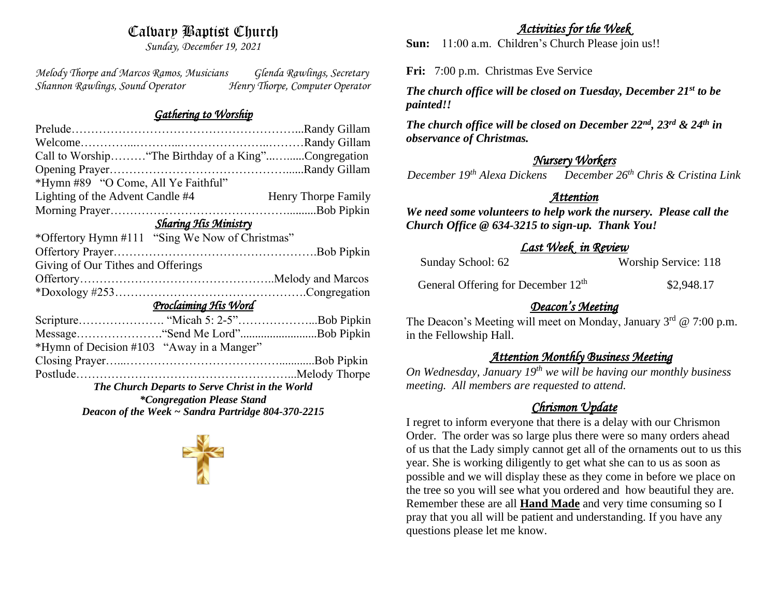# Calvary Baptist Church

*Sunday, December 19, 2021*

*Melody Thorpe and Marcos Ramos, Musicians Glenda Rawlings, Secretary Shannon Rawlings, Sound Operator Henry Thorpe, Computer Operator* 

#### *Gathering to Worship*

| Call to Worship "The Birthday of a King"Congregation    |  |                     |
|---------------------------------------------------------|--|---------------------|
|                                                         |  |                     |
| *Hymn #89 "O Come, All Ye Faithful"                     |  |                     |
| Lighting of the Advent Candle #4                        |  | Henry Thorpe Family |
|                                                         |  |                     |
| <b>Sharing His Ministry</b>                             |  |                     |
| *Offertory Hymn #111 "Sing We Now of Christmas"         |  |                     |
|                                                         |  |                     |
| Giving of Our Tithes and Offerings                      |  |                     |
|                                                         |  |                     |
|                                                         |  |                     |
| Proclaiming His Word                                    |  |                     |
|                                                         |  |                     |
|                                                         |  |                     |
| *Hymn of Decision #103 "Away in a Manger"               |  |                     |
|                                                         |  |                     |
|                                                         |  |                     |
| The Church Departs to Serve Christ in the World         |  |                     |
| <i>*Congregation Please Stand</i>                       |  |                     |
| Deacon of the Week $\sim$ Sandra Partridge 804-370-2215 |  |                     |

## *Activities for the Week*

**Sun:** 11:00 a.m. Children's Church Please join us!!

**Fri:** 7:00 p.m. Christmas Eve Service

*The church office will be closed on Tuesday, December 21st to be painted!!*

*The church office will be closed on December 22nd, 23rd & 24th in observance of Christmas.*

# *Nursery Workers*

*December 19th Alexa Dickens December 26th Chris & Cristina Link* 

### *Attention*

*We need some volunteers to help work the nursery. Please call the Church Office @ 634-3215 to sign-up. Thank You!*

# *Last Week in Review*

| Sunday School: 62 | Worship Service: 118 |
|-------------------|----------------------|
|-------------------|----------------------|

General Offering for December  $12<sup>th</sup>$ \$2,948.17

# *Deacon's Meeting*

The Deacon's Meeting will meet on Monday, January  $3<sup>rd</sup>$  @ 7:00 p.m. in the Fellowship Hall.

# *Attention Monthly Business Meeting*

*On Wednesday, January 19th we will be having our monthly business meeting. All members are requested to attend.* 

# *Chrismon Update*

I regret to inform everyone that there is a delay with our Chrismon Order. The order was so large plus there were so many orders ahead of us that the Lady simply cannot get all of the ornaments out to us this year. She is working diligently to get what she can to us as soon as possible and we will display these as they come in before we place on the tree so you will see what you ordered and how beautiful they are. Remember these are all **Hand Made** and very time consuming so I pray that you all will be patient and understanding. If you have any questions please let me know.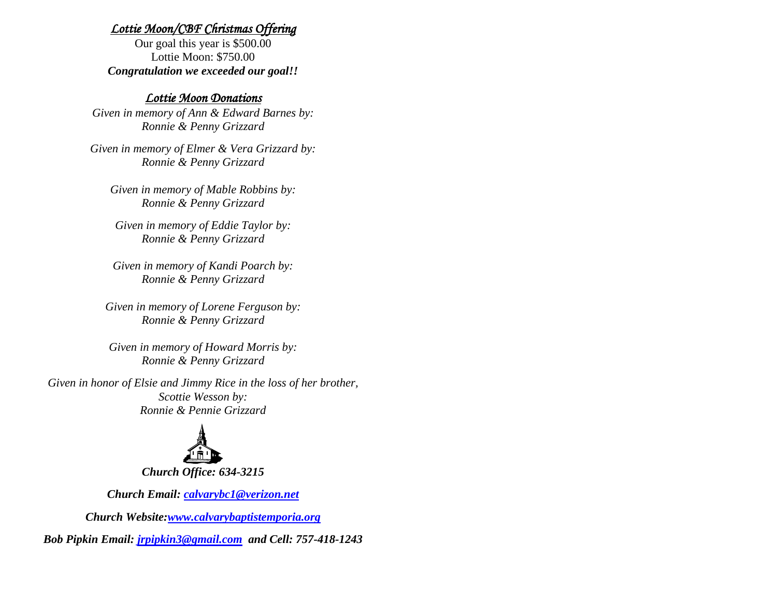#### *Lottie Moon/CBF Christmas Offering*

Our goal this year is \$500.00 Lottie Moon: \$750.00 *Congratulation we exceeded our goal!!*

#### *Lottie Moon Donations*

*Given in memory of Ann & Edward Barnes by: Ronnie & Penny Grizzard*

*Given in memory of Elmer & Vera Grizzard by: Ronnie & Penny Grizzard*

*Given in memory of Mable Robbins by: Ronnie & Penny Grizzard*

*Given in memory of Eddie Taylor by: Ronnie & Penny Grizzard*

*Given in memory of Kandi Poarch by: Ronnie & Penny Grizzard*

*Given in memory of Lorene Ferguson by: Ronnie & Penny Grizzard*

*Given in memory of Howard Morris by: Ronnie & Penny Grizzard*

*Given in honor of Elsie and Jimmy Rice in the loss of her brother, Scottie Wesson by: Ronnie & Pennie Grizzard*



*Church Email: [calvarybc1@verizon.net](mailto:cbcemporiaoffice@gmail.com)*

*Church Website[:www.calvarybaptistemporia.org](http://www.calvarybaptistemporia.org/)*

*Bob Pipkin Email: [jrpipkin3@gmail.com](mailto:jrpipkin3@gmail.com) and Cell: 757-418-1243*